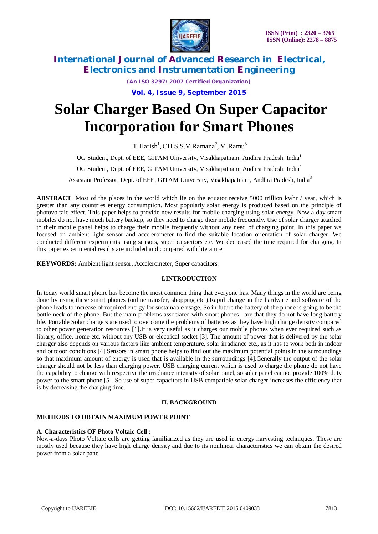

*(An ISO 3297: 2007 Certified Organization)*

**Vol. 4, Issue 9, September 2015**

# **Solar Charger Based On Super Capacitor Incorporation for Smart Phones**

 $T.Harish<sup>1</sup>, CH.S.S.V.Ramana<sup>2</sup>, M.Ramu<sup>3</sup>$ 

UG Student, Dept. of EEE, GITAM University, Visakhapatnam, Andhra Pradesh, India<sup>1</sup>

UG Student, Dept. of EEE, GITAM University, Visakhapatnam, Andhra Pradesh, India<sup>2</sup>

Assistant Professor, Dept. of EEE, GITAM University, Visakhapatnam, Andhra Pradesh, India<sup>3</sup>

**ABSTRACT**: Most of the places in the world which lie on the equator receive 5000 trillion kwhr / year, which is greater than any countries energy consumption. Most popularly solar energy is produced based on the principle of photovoltaic effect. This paper helps to provide new results for mobile charging using solar energy. Now a day smart mobiles do not have much battery backup, so they need to charge their mobile frequently. Use of solar charger attached to their mobile panel helps to charge their mobile frequently without any need of charging point. In this paper we focused on ambient light sensor and accelerometer to find the suitable location orientation of solar charger. We conducted different experiments using sensors, super capacitors etc. We decreased the time required for charging. In this paper experimental results are included and compared with literature.

**KEYWORDS:** Ambient light sensor, Accelerometer, Super capacitors.

# **I.INTRODUCTION**

In today world smart phone has become the most common thing that everyone has. Many things in the world are being done by using these smart phones (online transfer, shopping etc.).Rapid change in the hardware and software of the phone leads to increase of required energy for sustainable usage. So in future the battery of the phone is going to be the bottle neck of the phone. But the main problems associated with smart phones are that they do not have long battery life. Portable Solar chargers are used to overcome the problems of batteries as they have high charge density compared to other power generation resources [1].It is very useful as it charges our mobile phones when ever required such as library, office, home etc. without any USB or electrical socket [3]. The amount of power that is delivered by the solar charger also depends on various factors like ambient temperature, solar irradiance etc., as it has to work both in indoor and outdoor conditions [4].Sensors in smart phone helps to find out the maximum potential points in the surroundings so that maximum amount of energy is used that is available in the surroundings [4].Generally the output of the solar charger should not be less than charging power. USB charging current which is used to charge the phone do not have the capability to change with respective the irradiance intensity of solar panel, so solar panel cannot provide 100% duty power to the smart phone [5]. So use of super capacitors in USB compatible solar charger increases the efficiency that is by decreasing the charging time.

## **II. BACKGROUND**

# **METHODS TO OBTAIN MAXIMUM POWER POINT**

## **A. Characteristics OF Photo Voltaic Cell :**

Now-a-days Photo Voltaic cells are getting familiarized as they are used in energy harvesting techniques. These are mostly used because they have high charge density and due to its nonlinear characteristics we can obtain the desired power from a solar panel.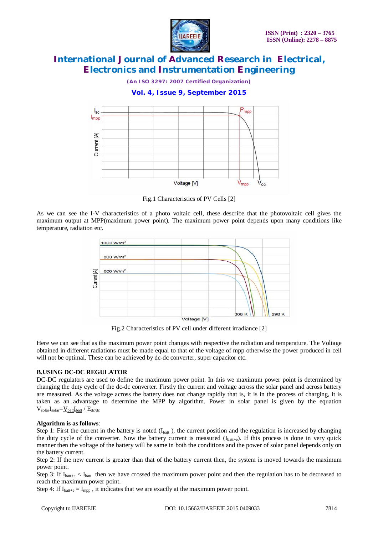

*(An ISO 3297: 2007 Certified Organization)*

# **Vol. 4, Issue 9, September 2015**



Fig.1 Characteristics of PV Cells [2]

As we can see the I-V characteristics of a photo voltaic cell, these describe that the photovoltaic cell gives the maximum output at MPP(maximum power point). The maximum power point depends upon many conditions like temperature, radiation etc.



Fig.2 Characteristics of PV cell under different irradiance [2]

Here we can see that as the maximum power point changes with respective the radiation and temperature. The Voltage obtained in different radiations must be made equal to that of the voltage of mpp otherwise the power produced in cell will not be optimal. These can be achieved by dc-dc converter, super capacitor etc.

# **B.USING DC-DC REGULATOR**

DC-DC regulators are used to define the maximum power point. In this we maximum power point is determined by changing the duty cycle of the dc-dc converter. Firstly the current and voltage across the solar panel and across battery are measured. As the voltage across the battery does not change rapidly that is, it is in the process of charging, it is taken as an advantage to determine the MPP by algorithm. Power in solar panel is given by the equation  $V_{solar}I_{solar} = V_{batt}I_{batt} / E_{dc/dc}$ 

## **Algorithm is as follows**:

Step 1: First the current in the battery is noted  $(I<sub>bat</sub>)$ , the current position and the regulation is increased by changing the duty cycle of the converter. Now the battery current is measured  $(I_{\text{batt+e}})$ . If this process is done in very quick manner then the voltage of the battery will be same in both the conditions and the power of solar panel depends only on the battery current.

Step 2: If the new current is greater than that of the battery current then, the system is moved towards the maximum power point.

Step 3: If  $I_{\text{batt+e}} < I_{\text{batt}}$  then we have crossed the maximum power point and then the regulation has to be decreased to reach the maximum power point.

Step 4: If  $I_{\text{batt+e}} = I_{\text{mpp}}$ , it indicates that we are exactly at the maximum power point.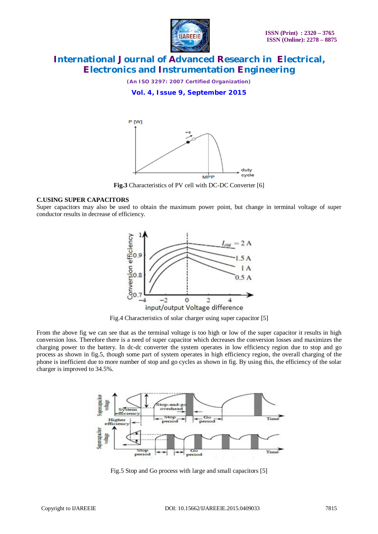

*(An ISO 3297: 2007 Certified Organization)*

**Vol. 4, Issue 9, September 2015**



**Fig.3** Characteristics of PV cell with DC-DC Converter [6]

#### **C.USING SUPER CAPACITORS**

Super capacitors may also be used to obtain the maximum power point, but change in terminal voltage of super conductor results in decrease of efficiency.



Fig.4 Characteristics of solar charger using super capacitor [5]

From the above fig we can see that as the terminal voltage is too high or low of the super capacitor it results in high conversion loss. Therefore there is a need of super capacitor which decreases the conversion losses and maximizes the charging power to the battery. In dc-dc converter the system operates in low efficiency region due to stop and go process as shown in fig.5, though some part of system operates in high efficiency region, the overall charging of the phone is inefficient due to more number of stop and go cycles as shown in fig. By using this, the efficiency of the solar charger is improved to 34.5%.



Fig.5 Stop and Go process with large and small capacitors [5]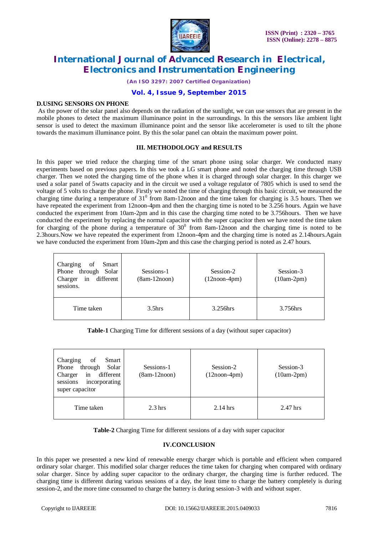

*(An ISO 3297: 2007 Certified Organization)*

# **Vol. 4, Issue 9, September 2015**

#### **D.USING SENSORS ON PHONE**

As the power of the solar panel also depends on the radiation of the sunlight, we can use sensors that are present in the mobile phones to detect the maximum illuminance point in the surroundings. In this the sensors like ambient light sensor is used to detect the maximum illuminance point and the sensor like accelerometer is used to tilt the phone towards the maximum illuminance point. By this the solar panel can obtain the maximum power point.

## **III. METHODOLOGY and RESULTS**

In this paper we tried reduce the charging time of the smart phone using solar charger. We conducted many experiments based on previous papers. In this we took a LG smart phone and noted the charging time through USB charger. Then we noted the charging time of the phone when it is charged through solar charger. In this charger we used a solar panel of 5watts capacity and in the circuit we used a voltage regulator of 7805 which is used to send the voltage of 5 volts to charge the phone. Firstly we noted the time of charging through this basic circuit, we measured the charging time during a temperature of  $31^0$  from 8am-12noon and the time taken for charging is 3.5 hours. Then we have repeated the experiment from 12noon-4pm and then the charging time is noted to be 3.256 hours. Again we have conducted the experiment from 10am-2pm and in this case the charging time noted to be 3.756hours. Then we have conducted the experiment by replacing the normal capacitor with the super capacitor then we have noted the time taken for charging of the phone during a temperature of  $30^0$  from 8am-12noon and the charging time is noted to be 2.3hours.Now we have repeated the experiment from 12noon-4pm and the charging time is noted as 2.14hours.Again we have conducted the experiment from 10am-2pm and this case the charging period is noted as 2.47 hours.

| Charging<br>of<br>Smart<br>Phone through Solar<br>in<br>different<br>Charger<br>sessions. | Sessions-1<br>$(8am-12noon)$ | Session-2<br>$(12noon-4pm)$ | Session-3<br>$(10am-2pm)$ |
|-------------------------------------------------------------------------------------------|------------------------------|-----------------------------|---------------------------|
| Time taken                                                                                | 3.5 <sub>hrs</sub>           | 3.256hrs                    | 3.756hrs                  |

**Table-1** Charging Time for different sessions of a day (without super capacitor)

| Charging<br>of<br>Smart<br>through<br>Solar<br>Phone<br>in<br>different<br>Charger<br>incorporating<br>sessions<br>super capacitor | Sessions-1<br>$(8am-12noon)$ | Session-2<br>$(12noon-4pm)$ | Session-3<br>$(10am-2pm)$ |
|------------------------------------------------------------------------------------------------------------------------------------|------------------------------|-----------------------------|---------------------------|
| Time taken                                                                                                                         | $2.3 \text{ hrs}$            | $2.14$ hrs                  | 2.47 hrs                  |

**Table-2** Charging Time for different sessions of a day with super capacitor

## **IV.CONCLUSION**

In this paper we presented a new kind of renewable energy charger which is portable and efficient when compared ordinary solar charger. This modified solar charger reduces the time taken for charging when compared with ordinary solar charger. Since by adding super capacitor to the ordinary charger, the charging time is further reduced. The charging time is different during various sessions of a day, the least time to charge the battery completely is during session-2, and the more time consumed to charge the battery is during session-3 with and without super.